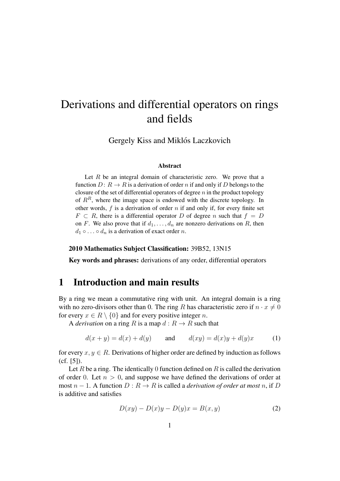# Derivations and differential operators on rings and fields

Gergely Kiss and Miklós Laczkovich

#### Abstract

Let  $R$  be an integral domain of characteristic zero. We prove that a function  $D: R \to R$  is a derivation of order n if and only if D belongs to the closure of the set of differential operators of degree  $n$  in the product topology of  $R^R$ , where the image space is endowed with the discrete topology. In other words,  $f$  is a derivation of order  $n$  if and only if, for every finite set  $F \subset R$ , there is a differential operator D of degree n such that  $f = D$ on F. We also prove that if  $d_1, \ldots, d_n$  are nonzero derivations on R, then  $d_1 \circ \ldots \circ d_n$  is a derivation of exact order n.

#### 2010 Mathematics Subject Classification: 39B52, 13N15

Key words and phrases: derivations of any order, differential operators

# 1 Introduction and main results

By a ring we mean a commutative ring with unit. An integral domain is a ring with no zero-divisors other than 0. The ring R has characteristic zero if  $n \cdot x \neq 0$ for every  $x \in R \setminus \{0\}$  and for every positive integer n.

A *derivation* on a ring R is a map  $d : R \to R$  such that

$$
d(x + y) = d(x) + d(y) \qquad \text{and} \qquad d(xy) = d(x)y + d(y)x \tag{1}
$$

for every  $x, y \in R$ . Derivations of higher order are defined by induction as follows (cf. [5]).

Let R be a ring. The identically 0 function defined on R is called the derivation of order 0. Let  $n > 0$ , and suppose we have defined the derivations of order at most  $n - 1$ . A function  $D : R \to R$  is called a *derivation of order at most* n, if D is additive and satisfies

$$
D(xy) - D(x)y - D(y)x = B(x, y)
$$
\n<sup>(2)</sup>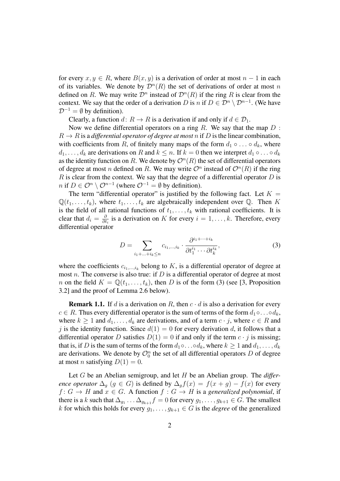for every  $x, y \in R$ , where  $B(x, y)$  is a derivation of order at most  $n - 1$  in each of its variables. We denote by  $\mathcal{D}^n(R)$  the set of derivations of order at most n defined on R. We may write  $\mathcal{D}^n$  instead of  $\mathcal{D}^n(R)$  if the ring R is clear from the context. We say that the order of a derivation D is n if  $D \in \mathcal{D}^n \setminus \mathcal{D}^{n-1}$ . (We have  $\mathcal{D}^{-1} = \emptyset$  by definition).

Clearly, a function  $d: R \to R$  is a derivation if and only if  $d \in \mathcal{D}_1$ .

Now we define differential operators on a ring  $R$ . We say that the map  $D$ :  $R \to R$  is a *differential operator of degree at most* n if D is the linear combination, with coefficients from R, of finitely many maps of the form  $d_1 \circ \ldots \circ d_k$ , where  $d_1, \ldots, d_k$  are derivations on R and  $k \leq n$ . If  $k = 0$  then we interpret  $d_1 \circ \ldots \circ d_k$ as the identity function on R. We denote by  $\mathcal{O}^n(R)$  the set of differential operators of degree at most *n* defined on R. We may write  $\mathcal{O}^n$  instead of  $\mathcal{O}^n(R)$  if the ring  $R$  is clear from the context. We say that the degree of a differential operator  $D$  is *n* if *D* ∈  $\mathcal{O}^n \setminus \mathcal{O}^{n-1}$  (where  $\mathcal{O}^{-1} = \emptyset$  by definition).

The term "differential operator" is justified by the following fact. Let  $K =$  $\mathbb{Q}(t_1,\ldots,t_k)$ , where  $t_1,\ldots,t_k$  are algebraically independent over  $\mathbb{Q}$ . Then K is the field of all rational functions of  $t_1, \ldots, t_k$  with rational coefficients. It is clear that  $d_i = \frac{\partial}{\partial t}$  $\frac{\partial}{\partial t_i}$  is a derivation on K for every  $i = 1, ..., k$ . Therefore, every differential operator

$$
D = \sum_{i_1 + \ldots + i_k \le n} c_{i_1, \ldots, i_k} \cdot \frac{\partial^{i_1 + \cdots + i_k}}{\partial t_1^{i_1} \cdots \partial t_k^{i_k}},\tag{3}
$$

where the coefficients  $c_{i_1,\dots,i_k}$  belong to K, is a differential operator of degree at most n. The converse is also true: if  $D$  is a differential operator of degree at most n on the field  $K = \mathbb{Q}(t_1, \ldots, t_k)$ , then D is of the form (3) (see [3, Proposition 3.2] and the proof of Lemma 2.6 below).

**Remark 1.1.** If d is a derivation on R, then  $c \cdot d$  is also a derivation for every  $c \in R$ . Thus every differential operator is the sum of terms of the form  $d_1 \circ \ldots \circ d_k$ , where  $k \ge 1$  and  $d_1, \ldots, d_k$  are derivations, and of a term  $c \cdot j$ , where  $c \in R$  and j is the identity function. Since  $d(1) = 0$  for every derivation d, it follows that a differential operator D satisfies  $D(1) = 0$  if and only if the term  $c \cdot j$  is missing; that is, if D is the sum of terms of the form  $d_1 \circ \ldots \circ d_k$ , where  $k \geq 1$  and  $d_1, \ldots, d_k$ are derivations. We denote by  $\mathcal{O}_0^n$  the set of all differential operators D of degree at most *n* satisfying  $D(1) = 0$ .

Let G be an Abelian semigroup, and let H be an Abelian group. The *difference operator*  $\Delta_q$  ( $g \in G$ ) is defined by  $\Delta_q f(x) = f(x+g) - f(x)$  for every  $f: G \to H$  and  $x \in G$ . A function  $f: G \to H$  is a *generalized polynomial*, if there is a k such that  $\Delta_{g_1} \ldots \Delta_{g_{k+1}} f = 0$  for every  $g_1, \ldots, g_{k+1} \in G$ . The smallest k for which this holds for every  $g_1, \ldots, g_{k+1} \in G$  is the *degree* of the generalized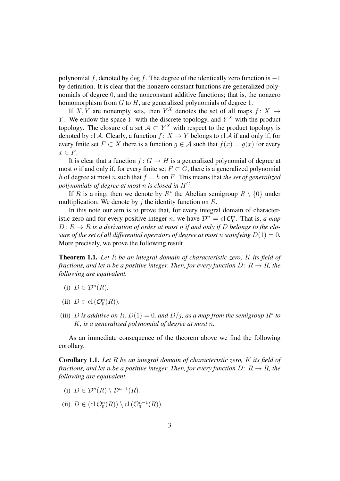polynomial f, denoted by deg f. The degree of the identically zero function is  $-1$ by definition. It is clear that the nonzero constant functions are generalized polynomials of degree 0, and the nonconstant additive functions; that is, the nonzero homomorphism from  $G$  to  $H$ , are generalized polynomials of degree 1.

If X, Y are nonempty sets, then  $Y^X$  denotes the set of all maps  $f: X \rightarrow$ Y. We endow the space Y with the discrete topology, and  $Y^X$  with the product topology. The closure of a set  $A \subset Y^X$  with respect to the product topology is denoted by cl A. Clearly, a function  $f: X \to Y$  belongs to cl A if and only if, for every finite set  $F \subset X$  there is a function  $g \in A$  such that  $f(x) = g(x)$  for every  $x \in F$ .

It is clear that a function  $f: G \to H$  is a generalized polynomial of degree at most *n* if and only if, for every finite set  $F \subset G$ , there is a generalized polynomial h of degree at most n such that  $f = h$  on F. This means that *the set of generalized polynomials of degree at most n is closed in*  $H^G$ .

If R is a ring, then we denote by  $R^*$  the Abelian semigroup  $R \setminus \{0\}$  under multiplication. We denote by j the identity function on  $R$ .

In this note our aim is to prove that, for every integral domain of characteristic zero and for every positive integer *n*, we have  $\mathcal{D}^n = \text{cl } \mathcal{O}_0^n$ . That is, *a map*  $D: R \to R$  *is a derivation of order at most n if and only if* D *belongs to the closure of the set of all differential operators of degree at most n satisfying*  $D(1) = 0$ . More precisely, we prove the following result.

Theorem 1.1. *Let* R *be an integral domain of characteristic zero,* K *its field of fractions, and let n be a positive integer. Then, for every function*  $D: R \to R$ *, the following are equivalent.*

- (i)  $D \in \mathcal{D}^n(R)$ .
- (ii)  $D \in \text{cl}(\mathcal{O}_0^n(R)).$
- (iii) *D* is additive on R,  $D(1) = 0$ , and  $D/j$ , as a map from the semigroup  $R^*$  to K*, is a generalized polynomial of degree at most* n*.*

As an immediate consequence of the theorem above we find the following corollary.

Corollary 1.1. *Let* R *be an integral domain of characteristic zero,* K *its field of fractions, and let n be a positive integer. Then, for every function*  $D: R \to R$ *, the following are equivalent.*

- (i)  $D \in \mathcal{D}^n(R) \setminus \mathcal{D}^{n-1}(R)$ .
- (ii)  $D \in (cl \mathcal{O}_0^n(R)) \setminus cl \left(\mathcal{O}_0^{n-1}(R)\right).$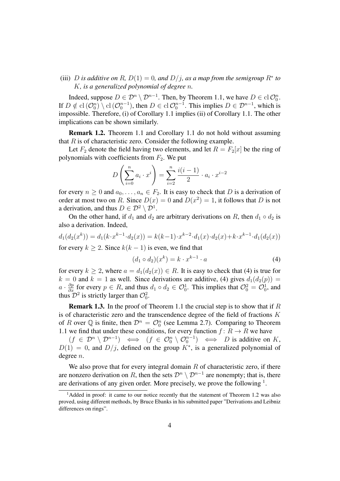(iii) *D* is additive on R,  $D(1) = 0$ , and  $D/j$ , as a map from the semigroup  $R^*$  to K*, is a generalized polynomial of degree* n*.*

Indeed, suppose  $D \in \mathcal{D}^n \setminus \mathcal{D}^{n-1}$ . Then, by Theorem 1.1, we have  $D \in \text{cl } \mathcal{O}_0^n$ . If  $D \notin \text{cl}(\mathcal{O}_0^n) \setminus \text{cl}(\mathcal{O}_0^{n-1})$ , then  $D \in \text{cl} \mathcal{O}_0^{n-1}$ . This implies  $D \in \mathcal{D}^{n-1}$ , which is impossible. Therefore, (i) of Corollary 1.1 implies (ii) of Corollary 1.1. The other implications can be shown similarly.

Remark 1.2. Theorem 1.1 and Corollary 1.1 do not hold without assuming that  $R$  is of characteristic zero. Consider the following example.

Let  $F_2$  denote the field having two elements, and let  $R = F_2[x]$  be the ring of polynomials with coefficients from  $F_2$ . We put

$$
D\left(\sum_{i=0}^{n} a_i \cdot x^i\right) = \sum_{i=2}^{n} \frac{i(i-1)}{2} \cdot a_i \cdot x^{i-2}
$$

for every  $n \geq 0$  and  $a_0, \ldots, a_n \in F_2$ . It is easy to check that D is a derivation of order at most two on R. Since  $D(x) = 0$  and  $D(x^2) = 1$ , it follows that D is not a derivation, and thus  $D \in \mathcal{D}^2 \setminus \mathcal{D}^1$ .

On the other hand, if  $d_1$  and  $d_2$  are arbitrary derivations on R, then  $d_1 \circ d_2$  is also a derivation. Indeed,

$$
d_1(d_2(x^k)) = d_1(k \cdot x^{k-1} \cdot d_2(x)) = k(k-1) \cdot x^{k-2} \cdot d_1(x) \cdot d_2(x) + k \cdot x^{k-1} \cdot d_1(d_2(x))
$$

for every  $k > 2$ . Since  $k(k-1)$  is even, we find that

$$
(d_1 \circ d_2)(x^k) = k \cdot x^{k-1} \cdot a \tag{4}
$$

for every  $k \geq 2$ , where  $a = d_1(d_2(x)) \in R$ . It is easy to check that (4) is true for  $k = 0$  and  $k = 1$  as well. Since derivations are additive, (4) gives  $d_1(d_2(p)) =$  $a \cdot \frac{\partial p}{\partial x}$  for every  $p \in R$ , and thus  $d_1 \circ d_2 \in \mathcal{O}_0^1$ . This implies that  $\mathcal{O}_0^2 = \mathcal{O}_0^1$ , and thus  $\mathcal{D}^2$  is strictly larger than  $\mathcal{O}_0^2$ .

**Remark 1.3.** In the proof of Theorem 1.1 the crucial step is to show that if  $R$ is of characteristic zero and the transcendence degree of the field of fractions  $K$ of R over  $\mathbb Q$  is finite, then  $\mathcal D^n = \mathcal O_0^n$  (see Lemma 2.7). Comparing to Theorem 1.1 we find that under these conditions, for every function  $f: R \to R$  we have

 $(f \in \mathcal{D}^n \setminus \mathcal{D}^{n-1}) \iff (f \in \mathcal{O}_0^n \setminus \mathcal{O}_0^{n-1}) \iff D$  is additive on K,  $D(1) = 0$ , and  $D/j$ , defined on the group  $K^*$ , is a generalized polynomial of degree n.

We also prove that for every integral domain  $R$  of characteristic zero, if there are nonzero derivation on R, then the sets  $\mathcal{D}^n \setminus \mathcal{D}^{n-1}$  are nonempty; that is, there are derivations of any given order. More precisely, we prove the following  $<sup>1</sup>$ .</sup>

<sup>&</sup>lt;sup>1</sup>Added in proof: it came to our notice recently that the statement of Theorem 1.2 was also proved, using different methods, by Bruce Ebanks in his submitted paper "Derivations and Leibniz differences on rings".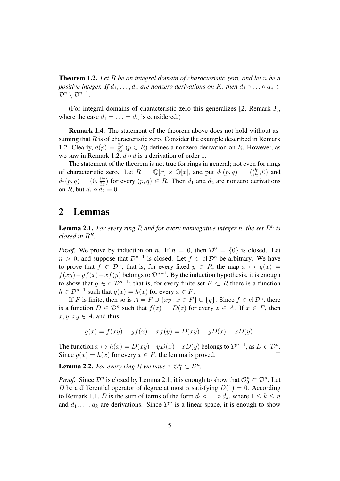Theorem 1.2. *Let* R *be an integral domain of characteristic zero, and let* n *be a positive integer. If*  $d_1, \ldots, d_n$  *are nonzero derivations on* K, then  $d_1 \circ \ldots \circ d_n \in$  $\mathcal{D}^n \setminus \mathcal{D}^{n-1}.$ 

(For integral domains of characteristic zero this generalizes [2, Remark 3], where the case  $d_1 = \ldots = d_n$  is considered.)

Remark 1.4. The statement of the theorem above does not hold without assuming that  $R$  is of characteristic zero. Consider the example described in Remark 1.2. Clearly,  $d(p) = \frac{\partial p}{\partial x}$  ( $p \in R$ ) defines a nonzero derivation on R. However, as we saw in Remark 1.2,  $d \circ d$  is a derivation of order 1.

The statement of the theorem is not true for rings in general; not even for rings of characteristic zero. Let  $R = \mathbb{Q}[x] \times \mathbb{Q}[x]$ , and put  $d_1(p,q) = (\frac{\partial p}{\partial x}, 0)$  and  $d_2(p,q) = (0, \frac{\partial q}{\partial x})$  for every  $(p,q) \in R$ . Then  $d_1$  and  $d_2$  are nonzero derivations on R, but  $d_1 \circ d_2 = 0$ .

# 2 Lemmas

**Lemma 2.1.** For every ring R and for every nonnegative integer n, the set  $\mathcal{D}^n$  is *closed in*  $R^R$ .

*Proof.* We prove by induction on n. If  $n = 0$ , then  $\mathcal{D}^0 = \{0\}$  is closed. Let  $n > 0$ , and suppose that  $\mathcal{D}^{n-1}$  is closed. Let  $f \in \text{cl } \mathcal{D}^n$  be arbitrary. We have to prove that  $f \in \mathcal{D}^n$ ; that is, for every fixed  $y \in R$ , the map  $x \mapsto g(x) =$  $f(xy) - yf(x) - xf(y)$  belongs to  $\mathcal{D}^{n-1}$ . By the induction hypothesis, it is enough to show that  $g \in \text{cl } \mathcal{D}^{n-1}$ ; that is, for every finite set  $F \subset R$  there is a function  $h \in \mathcal{D}^{n-1}$  such that  $g(x) = h(x)$  for every  $x \in F$ .

If F is finite, then so is  $A = F \cup \{xy : x \in F\} \cup \{y\}$ . Since  $f \in \text{cl} \mathcal{D}^n$ , there is a function  $D \in \mathcal{D}^n$  such that  $f(z) = D(z)$  for every  $z \in A$ . If  $x \in F$ , then  $x, y, xy \in A$ , and thus

$$
g(x) = f(xy) - yf(x) - xf(y) = D(xy) - yD(x) - xD(y).
$$

The function  $x \mapsto h(x) = D(xy) - yD(x) - xD(y)$  belongs to  $\mathcal{D}^{n-1}$ , as  $D \in \mathcal{D}^n$ . Since  $q(x) = h(x)$  for every  $x \in F$ , the lemma is proved.

**Lemma 2.2.** For every ring R we have  $cl O_0^n \subset \mathcal{D}^n$ .

*Proof.* Since  $\mathcal{D}^n$  is closed by Lemma 2.1, it is enough to show that  $\mathcal{O}_0^n \subset \mathcal{D}^n$ . Let D be a differential operator of degree at most n satisfying  $D(1) = 0$ . According to Remark 1.1, D is the sum of terms of the form  $d_1 \circ \dots \circ d_k$ , where  $1 \leq k \leq n$ and  $d_1, \ldots, d_k$  are derivations. Since  $\mathcal{D}^n$  is a linear space, it is enough to show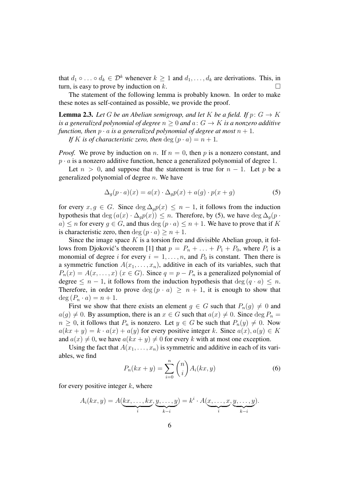that  $d_1 \circ \ldots \circ d_k \in \mathcal{D}^k$  whenever  $k \geq 1$  and  $d_1, \ldots, d_k$  are derivations. This, in turn, is easy to prove by induction on  $k$ .

The statement of the following lemma is probably known. In order to make these notes as self-contained as possible, we provide the proof.

**Lemma 2.3.** Let G be an Abelian semigroup, and let K be a field. If  $p: G \to K$ *is a generalized polynomial of degree*  $n > 0$  *and*  $a: G \rightarrow K$  *is a nonzero additive function, then*  $p \cdot a$  *is a generalized polynomial of degree at most*  $n + 1$ *.* 

*If* K is of characteristic zero, then  $\deg (p \cdot a) = n + 1$ .

*Proof.* We prove by induction on n. If  $n = 0$ , then p is a nonzero constant, and  $p \cdot a$  is a nonzero additive function, hence a generalized polynomial of degree 1.

Let  $n > 0$ , and suppose that the statement is true for  $n - 1$ . Let p be a generalized polynomial of degree  $n$ . We have

$$
\Delta_g(p \cdot a)(x) = a(x) \cdot \Delta_g p(x) + a(g) \cdot p(x + g) \tag{5}
$$

for every  $x, g \in G$ . Since  $\deg \Delta_g p(x) \leq n-1$ , it follows from the induction hypothesis that deg  $(a(x) \cdot \Delta_q p(x)) \leq n$ . Therefore, by (5), we have deg  $\Delta_q(p \cdot n)$ a)  $\leq n$  for every  $g \in G$ , and thus  $\deg (p \cdot a) \leq n + 1$ . We have to prove that if K is characteristic zero, then deg  $(p \cdot a) \geq n + 1$ .

Since the image space  $K$  is a torsion free and divisible Abelian group, it follows from Djoković's theorem [1] that  $p = P_n + \ldots + P_1 + P_0$ , where  $P_i$  is a monomial of degree i for every  $i = 1, \ldots, n$ , and  $P_0$  is constant. Then there is a symmetric function  $A(x_1, \ldots, x_n)$ , additive in each of its variables, such that  $P_n(x) = A(x, \ldots, x)$  ( $x \in G$ ). Since  $q = p - P_n$  is a generalized polynomial of degree  $\leq n-1$ , it follows from the induction hypothesis that deg  $(q \cdot a) \leq n$ . Therefore, in order to prove  $\deg(p \cdot a) \geq n + 1$ , it is enough to show that  $\deg(P_n \cdot a) = n + 1.$ 

First we show that there exists an element  $g \in G$  such that  $P_n(g) \neq 0$  and  $a(g) \neq 0$ . By assumption, there is an  $x \in G$  such that  $a(x) \neq 0$ . Since  $\deg P_n =$  $n \geq 0$ , it follows that  $P_n$  is nonzero. Let  $y \in G$  be such that  $P_n(y) \neq 0$ . Now  $a(kx + y) = k \cdot a(x) + a(y)$  for every positive integer k. Since  $a(x), a(y) \in K$ and  $a(x) \neq 0$ , we have  $a(kx + y) \neq 0$  for every k with at most one exception.

Using the fact that  $A(x_1, \ldots, x_n)$  is symmetric and additive in each of its variables, we find

$$
P_n(kx+y) = \sum_{i=0}^n \binom{n}{i} A_i(kx, y)
$$
\n<sup>(6)</sup>

for every positive integer  $k$ , where

$$
A_i(kx, y) = A(kx, \dots, kx, y, \dots, y) = k^i \cdot A(\underbrace{x, \dots, x}_{i}, \underbrace{y, \dots, y}_{k-i}).
$$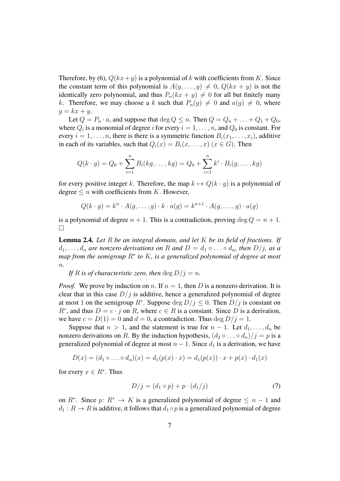Therefore, by (6),  $Q(kx+y)$  is a polynomial of k with coefficients from K. Since the constant term of this polynomial is  $A(y, \ldots, y) \neq 0$ ,  $Q(kx + y)$  is not the identically zero polynomial, and thus  $P_n(kx + y) \neq 0$  for all but finitely many k. Therefore, we may choose a k such that  $P_n(q) \neq 0$  and  $a(q) \neq 0$ , where  $g = kx + y$ .

Let  $Q = P_n \cdot a$ , and suppose that  $\deg Q \leq n$ . Then  $Q = Q_n + \ldots + Q_1 + Q_0$ , where  $Q_i$  is a monomial of degree i for every  $i = 1, \ldots, n$ , and  $Q_0$  is constant. For every  $i = 1, \ldots, n$ , there is there is a symmetric function  $B_i(x_1, \ldots, x_i)$ , additive in each of its variables, such that  $Q_i(x) = B_i(x, \ldots, x)$  ( $x \in G$ ). Then

$$
Q(k \cdot g) = Q_0 + \sum_{i=1}^n B_i(kg, \dots, kg) = Q_0 + \sum_{i=1}^n k^i \cdot B_i(g, \dots, kg)
$$

for every positive integer k. Therefore, the map  $k \mapsto Q(k \cdot g)$  is a polynomial of degree  $\leq n$  with coefficients from K. However,

$$
Q(k \cdot g) = k^n \cdot A(g, \dots, g) \cdot k \cdot a(g) = k^{n+1} \cdot A(g, \dots, g) \cdot a(g)
$$

is a polynomial of degree  $n + 1$ . This is a contradiction, proving  $\deg Q = n + 1$ .  $\Box$ 

Lemma 2.4. *Let* R *be an integral domain, and let* K *be its field of fractions. If*  $d_1, \ldots, d_n$  are nonzero derivations on R and  $D = d_1 \circ \ldots \circ d_n$ , then  $D/j$ , as a map from the semigroup R<sup>∗</sup> to *K*, is a generalized polynomial of degree at most n*.*

*If R is of characteristic zero, then* deg  $D/i = n$ .

*Proof.* We prove by induction on n. If  $n = 1$ , then D is a nonzero derivation. It is clear that in this case  $D/j$  is additive, hence a generalized polynomial of degree at most 1 on the semigroup  $R^*$ . Suppose  $\deg D/j \leq 0$ . Then  $D/j$  is constant on  $R^*$ , and thus  $D = c \cdot j$  on R, where  $c \in R$  is a constant. Since D is a derivation, we have  $c = D(1) = 0$  and  $d = 0$ , a contradiction. Thus  $\deg D/j = 1$ .

Suppose that  $n > 1$ , and the statement is true for  $n - 1$ . Let  $d_1, \ldots, d_n$  be nonzero derivations on R. By the induction hypothesis,  $(d_2 \circ \dots \circ d_n)/j = p$  is a generalized polynomial of degree at most  $n - 1$ . Since  $d_1$  is a derivation, we have

$$
D(x)=(d_1\circ\ldots\circ d_n)(x)=d_1(p(x)\cdot x)=d_1(p(x))\cdot x+p(x)\cdot d_1(x)
$$

for every  $x \in R^*$ . Thus

$$
D/j = (d_1 \circ p) + p \cdot (d_1/j) \tag{7}
$$

on  $R^*$ . Since  $p: R^* \to K$  is a generalized polynomial of degree  $\leq n-1$  and  $d_1 : R \to R$  is additive, it follows that  $d_1 \circ p$  is a generalized polynomial of degree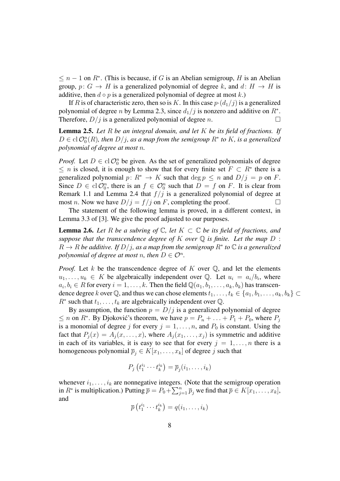$\leq n-1$  on  $R^*$ . (This is because, if G is an Abelian semigroup, H is an Abelian group,  $p: G \to H$  is a generalized polynomial of degree k, and  $d: H \to H$  is additive, then  $d \circ p$  is a generalized polynomial of degree at most k.)

If R is of characteristic zero, then so is K. In this case  $p \cdot (d_1/j)$  is a generalized polynomial of degree *n* by Lemma 2.3, since  $d_1/j$  is nonzero and additive on  $R^*$ . Therefore,  $D/j$  is a generalized polynomial of degree n.

Lemma 2.5. *Let* R *be an integral domain, and let* K *be its field of fractions. If*  $D \in \text{cl } \mathcal{O}_0^n(R)$ , then  $D/j$ , as a map from the semigroup  $R^*$  to K, is a generalized *polynomial of degree at most* n*.*

*Proof.* Let  $D \in \text{cl } \mathcal{O}_0^n$  be given. As the set of generalized polynomials of degree  $\leq n$  is closed, it is enough to show that for every finite set  $F \subset R^*$  there is a generalized polynomial  $p: R^* \to K$  such that  $\deg p \leq n$  and  $D/j = p$  on F. Since  $D \in \text{cl } \mathcal{O}_0^n$ , there is an  $f \in \mathcal{O}_0^n$  such that  $D = f$  on F. It is clear from Remark 1.1 and Lemma 2.4 that  $f/j$  is a generalized polynomial of degree at most *n*. Now we have  $D/j = f/j$  on *F*, completing the proof.

The statement of the following lemma is proved, in a different context, in Lemma 3.3 of [3]. We give the proof adjusted to our purposes.

**Lemma 2.6.** Let R be a subring of  $\mathbb{C}$ , let  $K \subset \mathbb{C}$  be its field of fractions, and *suppose that the transcendence degree of*  $K$  *over*  $\mathbb Q$  *is finite. Let the map*  $D$  :  $R \to R$  be additive. If  $D/j$ , as a map from the semigroup  $R^*$  to  $\mathbb C$  is a generalized *polynomial of degree at most n, then*  $D \in \mathcal{O}^n$ *.* 

*Proof.* Let k be the transcendence degree of K over  $\mathbb{Q}$ , and let the elements  $u_1, \ldots, u_k \in K$  be algebraically independent over Q. Let  $u_i = a_i/b_i$ , where  $a_i, b_i \in R$  for every  $i = 1, \ldots, k$ . Then the field  $\mathbb{Q}(a_1, b_1, \ldots, a_k, b_k)$  has transcendence degree k over Q, and thus we can chose elements  $t_1, \ldots, t_k \in \{a_1, b_1, \ldots, a_k, b_k\} \subset$  $R^*$  such that  $t_1, \ldots, t_k$  are algebraically independent over  $\mathbb Q$ .

By assumption, the function  $p = D/j$  is a generalized polynomial of degree  $\leq n$  on  $R^*$ . By Djoković's theorem, we have  $p = P_n + \ldots + P_1 + P_0$ , where  $P_j$ is a monomial of degree j for every  $j = 1, \ldots, n$ , and  $P_0$  is constant. Using the fact that  $P_i(x) = A_i(x, \ldots, x)$ , where  $A_i(x_1, \ldots, x_i)$  is symmetric and additive in each of its variables, it is easy to see that for every  $j = 1, \ldots, n$  there is a homogeneous polynomial  $\overline{p}_j \in K[x_1, \ldots, x_k]$  of degree j such that

$$
P_j(t_1^{i_1}\cdots t_k^{i_k}) = \overline{p}_j(i_1,\ldots,i_k)
$$

whenever  $i_1, \ldots, i_k$  are nonnegative integers. (Note that the semigroup operation in  $R^*$  is multiplication.) Putting  $\overline{p} = P_0 + \sum_{j=1}^n \overline{p}_j$  we find that  $\overline{p} \in K[x_1, \ldots, x_k]$ , and

$$
\overline{p}\left(t_1^{i_1}\cdots t_k^{i_k}\right)=q(i_1,\ldots,i_k)
$$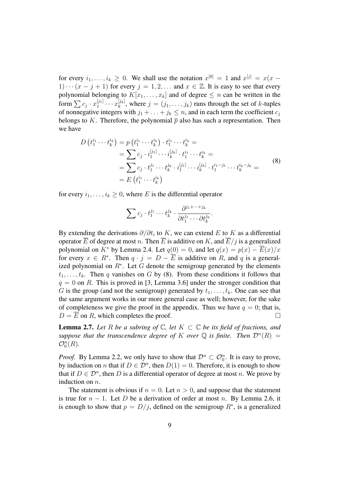for every  $i_1, \ldots, i_k \geq 0$ . We shall use the notation  $x^{[0]} = 1$  and  $x^{[j]} = x(x -$ 1)  $\cdots$   $(x - j + 1)$  for every  $j = 1, 2, \ldots$  and  $x \in \mathbb{Z}$ . It is easy to see that every polynomial belonging to  $K[x_1, \ldots, x_k]$  and of degree  $\leq n$  can be written in the form  $\sum c_j \cdot x_1^{[j_1]}$  $x_{1}^{[j_{1}]} \cdots x_{k}^{[j_{k}]}$  $\mathbf{z}_{k}^{[j_{k}]}$ , where  $j = (j_{1}, \ldots, j_{k})$  runs through the set of k-tuples of nonnegative integers with  $j_1 + \ldots + j_k \leq n$ , and in each term the coefficient  $c_j$ belongs to K. Therefore, the polynomial  $\bar{p}$  also has such a representation. Then we have

$$
D(t_1^{i_1} \cdots t_k^{i_k}) = p(t_1^{i_1} \cdots t_k^{i_k}) \cdot t_1^{i_1} \cdots t_k^{i_k} =
$$
  
\n
$$
= \sum c_j \cdot i_1^{[j_1]} \cdots i_k^{[j_k]} \cdot t_1^{i_1} \cdots t_k^{i_k} =
$$
  
\n
$$
= \sum c_j \cdot t_1^{j_1} \cdots t_k^{j_k} \cdot i_1^{[j_1]} \cdots i_k^{[j_k]} \cdot t_1^{i_1-j_1} \cdots t_k^{i_k-j_k} =
$$
  
\n
$$
= E(t_1^{i_1} \cdots t_k^{i_k})
$$
\n(8)

for every  $i_1, \ldots, i_k \geq 0$ , where E is the differential operator

$$
\sum c_j \cdot t_1^{j_1} \cdots t_k^{j_k} \cdot \frac{\partial^{j_1+\cdots+j_k}}{\partial t_1^{j_1} \cdots \partial t_k^{j_k}}.
$$

By extending the derivations  $\partial/\partial t_i$  to K, we can extend E to K as a differential operator  $\overline{E}$  of degree at most n. Then  $\overline{E}$  is additive on K, and  $\overline{E}/j$  is a generalized polynomial on K<sup>\*</sup> by Lemma 2.4. Let  $q(0) = 0$ , and let  $q(x) = p(x) - \overline{E}(x)/x$ for every  $x \in R^*$ . Then  $q \cdot j = D - \overline{E}$  is additive on R, and q is a generalized polynomial on  $R^*$ . Let G denote the semigroup generated by the elements  $t_1, \ldots, t_k$ . Then q vanishes on G by (8). From these conditions it follows that  $q = 0$  on R. This is proved in [3, Lemma 3.6] under the stronger condition that G is the group (and not the semigroup) generated by  $t_1, \ldots, t_k$ . One can see that the same argument works in our more general case as well; however, for the sake of completeness we give the proof in the appendix. Thus we have  $q = 0$ ; that is,  $D = \overline{E}$  on R, which completes the proof.

**Lemma 2.7.** Let R be a subring of  $\mathbb{C}$ , let  $K \subset \mathbb{C}$  be its field of fractions, and suppose that the transcendence degree of K over  $\mathbb Q$  is finite. Then  $\mathcal D^n(R) =$  $\mathcal{O}_0^n(R)$ .

*Proof.* By Lemma 2.2, we only have to show that  $\mathcal{D}^n \subset \mathcal{O}_0^n$ . It is easy to prove, by induction on *n* that if  $D \in \mathcal{D}^n$ , then  $D(1) = 0$ . Therefore, it is enough to show that if  $D \in \mathcal{D}^n$ , then D is a differential operator of degree at most n. We prove by induction on *n*.

The statement is obvious if  $n = 0$ . Let  $n > 0$ , and suppose that the statement is true for  $n - 1$ . Let D be a derivation of order at most n. By Lemma 2.6, it is enough to show that  $p = D/j$ , defined on the semigroup  $R^*$ , is a generalized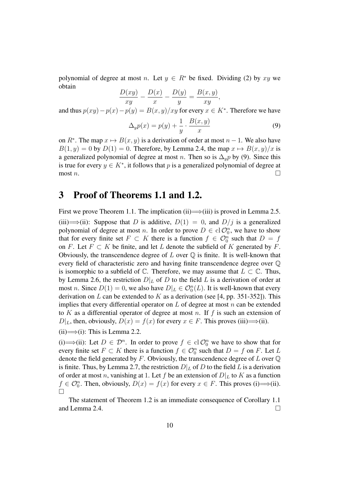polynomial of degree at most n. Let  $y \in R^*$  be fixed. Dividing (2) by xy we obtain

$$
\frac{D(xy)}{xy} - \frac{D(x)}{x} - \frac{D(y)}{y} = \frac{B(x, y)}{xy},
$$

and thus  $p(xy) - p(x) - p(y) = B(x, y)/xy$  for every  $x \in K^*$ . Therefore we have

$$
\Delta_y p(x) = p(y) + \frac{1}{y} \cdot \frac{B(x, y)}{x} \tag{9}
$$

on  $R^*$ . The map  $x \mapsto B(x, y)$  is a derivation of order at most  $n - 1$ . We also have  $B(1, y) = 0$  by  $D(1) = 0$ . Therefore, by Lemma 2.4, the map  $x \mapsto B(x, y)/x$  is a generalized polynomial of degree at most *n*. Then so is  $\Delta_{\psi} p$  by (9). Since this is true for every  $y \in K^*$ , it follows that p is a generalized polynomial of degree at most  $n$ .

## 3 Proof of Theorems 1.1 and 1.2.

First we prove Theorem 1.1. The implication (ii)  $\implies$  (iii) is proved in Lemma 2.5. (iii)  $\implies$  (ii): Suppose that D is additive,  $D(1) = 0$ , and  $D/j$  is a generalized polynomial of degree at most *n*. In order to prove  $D \in \text{cl } \mathcal{O}_0^n$ , we have to show that for every finite set  $F \subset K$  there is a function  $f \in \mathcal{O}_0^n$  such that  $D = f$ on F. Let  $F \subset K$  be finite, and let L denote the subfield of K generated by F. Obviously, the transcendence degree of  $L$  over  $\mathbb Q$  is finite. It is well-known that every field of characteristic zero and having finite transcendence degree over Q is isomorphic to a subfield of  $\mathbb C$ . Therefore, we may assume that  $L \subset \mathbb C$ . Thus, by Lemma 2.6, the restriction  $D|_L$  of D to the field L is a derivation of order at most *n*. Since  $D(1) = 0$ , we also have  $D|_L \in \mathcal{O}_0^n(L)$ . It is well-known that every derivation on  $L$  can be extended to  $K$  as a derivation (see [4, pp. 351-352]). This implies that every differential operator on  $L$  of degree at most  $n$  can be extended to K as a differential operator of degree at most n. If  $f$  is such an extension of  $D|_L$ , then, obviously,  $D(x) = f(x)$  for every  $x \in F$ . This proves (iii) $\Longrightarrow$ (ii).

 $(ii) \implies (i)$ : This is Lemma 2.2.

(i) ⇒ (ii): Let  $D \in \mathcal{D}^n$ . In order to prove  $f \in \text{cl } \mathcal{O}_0^n$  we have to show that for every finite set  $F \subset K$  there is a function  $f \in \mathcal{O}_0^n$  such that  $D = f$  on F. Let L denote the field generated by  $F$ . Obviously, the transcendence degree of  $L$  over  $\mathbb Q$ is finite. Thus, by Lemma 2.7, the restriction  $D|_L$  of D to the field L is a derivation of order at most n, vanishing at 1. Let f be an extension of  $D|_L$  to K as a function  $f \in \mathcal{O}_0^n$ . Then, obviously,  $D(x) = f(x)$  for every  $x \in F$ . This proves (i)  $\Longrightarrow$  (ii).  $\Box$ 

The statement of Theorem 1.2 is an immediate consequence of Corollary 1.1 and Lemma 2.4.  $\Box$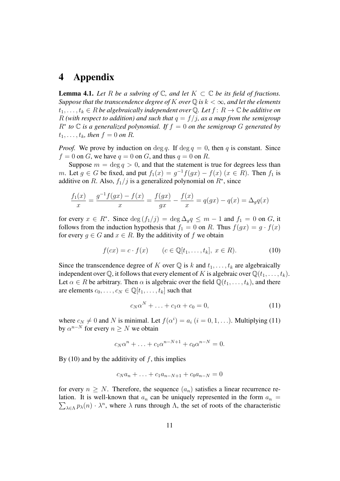# 4 Appendix

**Lemma 4.1.** Let R be a subring of  $\mathbb{C}$ , and let  $K \subset \mathbb{C}$  be its field of fractions. *Suppose that the transcendence degree of* K *over*  $\mathbb{Q}$  *is*  $k < \infty$ *, and let the elements*  $t_1, \ldots, t_k \in R$  *be algebraically independent over* Q. Let  $f: R \to \mathbb{C}$  *be additive on* R (with respect to addition) and such that  $q = f/j$ , as a map from the semigroup  $R^*$  to  $\mathbb C$  *is a generalized polynomial. If*  $f = 0$  *on the semigroup*  $G$  *generated by*  $t_1, \ldots, t_k$ *, then*  $f = 0$  *on* R.

*Proof.* We prove by induction on deg q. If deg  $q = 0$ , then q is constant. Since  $f = 0$  on G, we have  $q = 0$  on G, and thus  $q = 0$  on R.

Suppose  $m = \deg q > 0$ , and that the statement is true for degrees less than m. Let  $g \in G$  be fixed, and put  $f_1(x) = g^{-1}f(gx) - f(x)$   $(x \in R)$ . Then  $f_1$  is additive on R. Also,  $f_1/j$  is a generalized polynomial on  $R^*$ , since

$$
\frac{f_1(x)}{x} = \frac{g^{-1}f(gx) - f(x)}{x} = \frac{f(gx)}{gx} - \frac{f(x)}{x} = q(gx) - q(x) = \Delta_g q(x)
$$

for every  $x \in R^*$ . Since  $\deg(f_1/j) = \deg \Delta_g q \le m - 1$  and  $f_1 = 0$  on G, it follows from the induction hypothesis that  $f_1 = 0$  on R. Thus  $f(gx) = g \cdot f(x)$ for every  $g \in G$  and  $x \in R$ . By the additivity of f we obtain

$$
f(cx) = c \cdot f(x) \qquad (c \in \mathbb{Q}[t_1, \dots, t_k], \ x \in R). \tag{10}
$$

Since the transcendence degree of K over  $\mathbb Q$  is k and  $t_1, \ldots, t_k$  are algebraically independent over  $\mathbb Q$ , it follows that every element of K is algebraic over  $\mathbb Q(t_1, \ldots, t_k)$ . Let  $\alpha \in R$  be arbitrary. Then  $\alpha$  is algebraic over the field  $\mathbb{Q}(t_1, \ldots, t_k)$ , and there are elements  $c_0, \ldots, c_N \in \mathbb{Q}[t_1, \ldots, t_k]$  such that

$$
c_N \alpha^N + \ldots + c_1 \alpha + c_0 = 0, \qquad (11)
$$

where  $c_N \neq 0$  and N is minimal. Let  $f(\alpha^i) = a_i$   $(i = 0, 1, \ldots)$ . Multiplying (11) by  $\alpha^{n-N}$  for every  $n \geq N$  we obtain

$$
c_N \alpha^n + \ldots + c_1 \alpha^{n-N+1} + c_0 \alpha^{n-N} = 0.
$$

By (10) and by the additivity of  $f$ , this implies

$$
c_N a_n + \ldots + c_1 a_{n-N+1} + c_0 a_{n-N} = 0
$$

for every  $n \geq N$ . Therefore, the sequence  $(a_n)$  satisfies a linear recurrence relation. It is well-known that  $a_n$  can be uniquely represented in the form  $a_n =$  $\sum_{\lambda \in \Lambda} p_{\lambda}(n) \cdot \lambda^n$ , where  $\lambda$  runs through  $\Lambda$ , the set of roots of the characteristic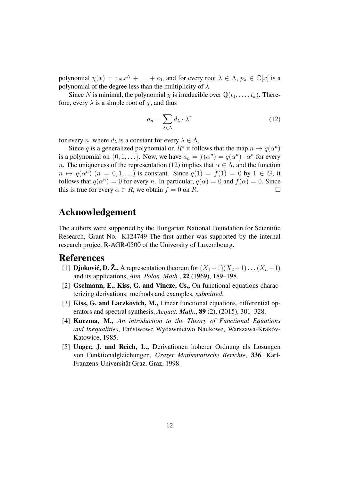polynomial  $\chi(x) = c_N x^N + \ldots + c_0$ , and for every root  $\lambda \in \Lambda$ ,  $p_\lambda \in \mathbb{C}[x]$  is a polynomial of the degree less than the multiplicity of  $\lambda$ .

Since N is minimal, the polynomial  $\chi$  is irreducible over  $\mathbb{Q}(t_1, \ldots, t_k)$ . Therefore, every  $\lambda$  is a simple root of  $\chi$ , and thus

$$
a_n = \sum_{\lambda \in \Lambda} d_\lambda \cdot \lambda^n \tag{12}
$$

for every *n*, where  $d_{\lambda}$  is a constant for every  $\lambda \in \Lambda$ .

Since q is a generalized polynomial on  $R^*$  it follows that the map  $n \mapsto q(\alpha^n)$ is a polynomial on  $\{0, 1, ...\}$ . Now, we have  $a_n = f(\alpha^n) = q(\alpha^n) \cdot \alpha^n$  for every n. The uniqueness of the representation (12) implies that  $\alpha \in \Lambda$ , and the function  $n \mapsto q(\alpha^n)$   $(n = 0, 1, \ldots)$  is constant. Since  $q(1) = f(1) = 0$  by  $1 \in G$ , it follows that  $q(\alpha^n) = 0$  for every *n*. In particular,  $q(\alpha) = 0$  and  $f(\alpha) = 0$ . Since this is true for every  $\alpha \in R$ , we obtain  $f = 0$  on R.

# Acknowledgement

The authors were supported by the Hungarian National Foundation for Scientific Research, Grant No. K124749 The first author was supported by the internal research project R-AGR-0500 of the University of Luxembourg.

### References

- [1] Djoković, D.  $\mathbb{Z}_2$ , A representation theorem for  $(X_1-1)(X_2-1)\dots(X_n-1)$ . and its applications, *Ann. Polon. Math.*, 22 (1969), 189–198.
- [2] Gselmann, E., Kiss, G. and Vincze, Cs., On functional equations characterizing derivations: methods and examples, *submitted*.
- [3] Kiss, G. and Laczkovich, M., Linear functional equations, differential operators and spectral synthesis, *Aequat. Math.*, 89 (2), (2015), 301–328.
- [4] Kuczma, M., *An introduction to the Theory of Functional Equations and Inequalities*, Państwowe Wydawnictwo Naukowe, Warszawa-Krakóv-Katowice, 1985.
- [5] Unger, J. and Reich, L., Derivationen höherer Ordnung als Lösungen von Funktionalgleichungen, *Grazer Mathematische Berichte*, 336. Karl-Franzens-Universität Graz, Graz, 1998.